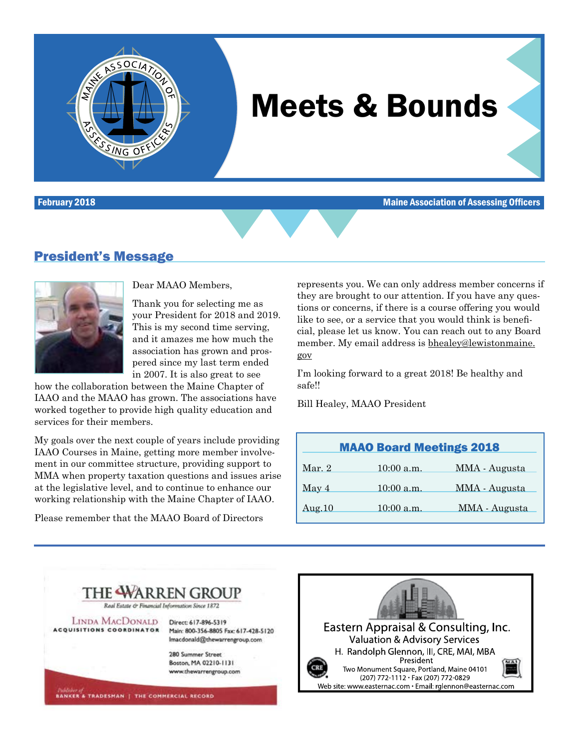

# Meets & Bounds

February 2018 Maine Association of Assessing Officers

### President's Message



Dear MAAO Members,

Thank you for selecting me as your President for 2018 and 2019. This is my second time serving, and it amazes me how much the association has grown and prospered since my last term ended in 2007. It is also great to see

how the collaboration between the Maine Chapter of IAAO and the MAAO has grown. The associations have worked together to provide high quality education and services for their members.

My goals over the next couple of years include providing IAAO Courses in Maine, getting more member involvement in our committee structure, providing support to MMA when property taxation questions and issues arise at the legislative level, and to continue to enhance our working relationship with the Maine Chapter of IAAO.

Please remember that the MAAO Board of Directors

represents you. We can only address member concerns if they are brought to our attention. If you have any questions or concerns, if there is a course offering you would like to see, or a service that you would think is beneficial, please let us know. You can reach out to any Board member. My email address is [bhealey@lewistonmaine.](mailto:bhealey@lewistonmaine.gov) [gov](mailto:bhealey@lewistonmaine.gov)

I'm looking forward to a great 2018! Be healthy and safe!!

Bill Healey, MAAO President

|        | <b>MAAO Board Meetings 2018</b> |               |
|--------|---------------------------------|---------------|
| Mar. 2 | $10:00$ a.m.                    | MMA - Augusta |
| May 4  | $10:00$ a.m.                    | MMA - Augusta |
| Aug.10 | $10:00$ a.m.                    | MMA - Augusta |



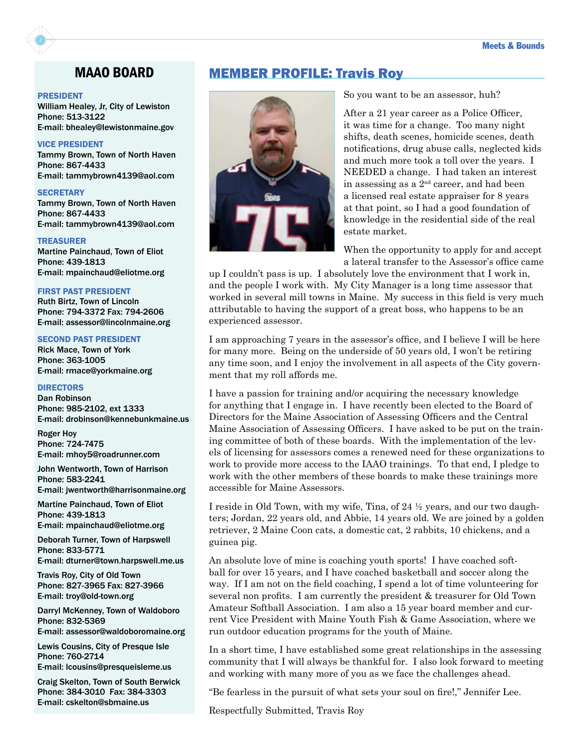#### PRESIDENT

William Healey, Jr, City of Lewiston Phone: 513-3122 E-mail: bhealey@lewistonmaine.gov

### VICE PRESIDENT

Tammy Brown, Town of North Haven Phone: 867-4433 E-mail: tammybrown4139@aol.com

### **SECRETARY**

Tammy Brown, Town of North Haven Phone: 867-4433 E-mail: tammybrown4139@aol.com

#### TREASURER

Martine Painchaud, Town of Eliot Phone: 439-1813 E-mail: mpainchaud@eliotme.org

#### FIRST PAST PRESIDENT

Ruth Birtz, Town of Lincoln Phone: 794-3372 Fax: 794-2606 E-mail: assessor@lincolnmaine.org

### SECOND PAST PRESIDENT

Rick Mace, Town of York Phone: 363-1005 E-mail: rmace@yorkmaine.org

### **DIRECTORS**

Dan Robinson Phone: 985-2102, ext 1333 E-mail: drobinson@kennebunkmaine.us

Roger Hoy Phone: 724-7475 E-mail: mhoy5@roadrunner.com

John Wentworth, Town of Harrison Phone: 583-2241 E-mail: jwentworth@harrisonmaine.org

Martine Painchaud, Town of Eliot Phone: 439-1813

E-mail: mpainchaud@eliotme.org

Deborah Turner, Town of Harpswell Phone: 833-5771 E-mail: dturner@town.harpswell.me.us

Travis Roy, City of Old Town Phone: 827-3965 Fax: 827-3966 E-mail: troy@old-town.org

Darryl McKenney, Town of Waldoboro Phone: 832-5369 E-mail: assessor@waldoboromaine.org

Lewis Cousins, City of Presque Isle Phone: 760-2714 E-mail: lcousins@presqueisleme.us

Craig Skelton, Town of South Berwick Phone: 384-3010 Fax: 384-3303 E-mail: cskelton@sbmaine.us

### MAAO BOARD MEMBER PROFILE: Travis Roy



So you want to be an assessor, huh?

After a 21 year career as a Police Officer, it was time for a change. Too many night shifts, death scenes, homicide scenes, death notifications, drug abuse calls, neglected kids and much more took a toll over the years. I NEEDED a change. I had taken an interest in assessing as a  $2<sup>nd</sup>$  career, and had been a licensed real estate appraiser for 8 years at that point, so I had a good foundation of knowledge in the residential side of the real estate market.

When the opportunity to apply for and accept a lateral transfer to the Assessor's office came

up I couldn't pass is up. I absolutely love the environment that I work in, and the people I work with. My City Manager is a long time assessor that worked in several mill towns in Maine. My success in this field is very much attributable to having the support of a great boss, who happens to be an experienced assessor.

I am approaching 7 years in the assessor's office, and I believe I will be here for many more. Being on the underside of 50 years old, I won't be retiring any time soon, and I enjoy the involvement in all aspects of the City government that my roll affords me.

I have a passion for training and/or acquiring the necessary knowledge for anything that I engage in. I have recently been elected to the Board of Directors for the Maine Association of Assessing Officers and the Central Maine Association of Assessing Officers. I have asked to be put on the training committee of both of these boards. With the implementation of the levels of licensing for assessors comes a renewed need for these organizations to work to provide more access to the IAAO trainings. To that end, I pledge to work with the other members of these boards to make these trainings more accessible for Maine Assessors.

I reside in Old Town, with my wife, Tina, of 24 ½ years, and our two daughters; Jordan, 22 years old, and Abbie, 14 years old. We are joined by a golden retriever, 2 Maine Coon cats, a domestic cat, 2 rabbits, 10 chickens, and a guinea pig.

An absolute love of mine is coaching youth sports! I have coached softball for over 15 years, and I have coached basketball and soccer along the way. If I am not on the field coaching, I spend a lot of time volunteering for several non profits. I am currently the president & treasurer for Old Town Amateur Softball Association. I am also a 15 year board member and current Vice President with Maine Youth Fish & Game Association, where we run outdoor education programs for the youth of Maine.

In a short time, I have established some great relationships in the assessing community that I will always be thankful for. I also look forward to meeting and working with many more of you as we face the challenges ahead.

"Be fearless in the pursuit of what sets your soul on fire!," Jennifer Lee.

Respectfully Submitted, Travis Roy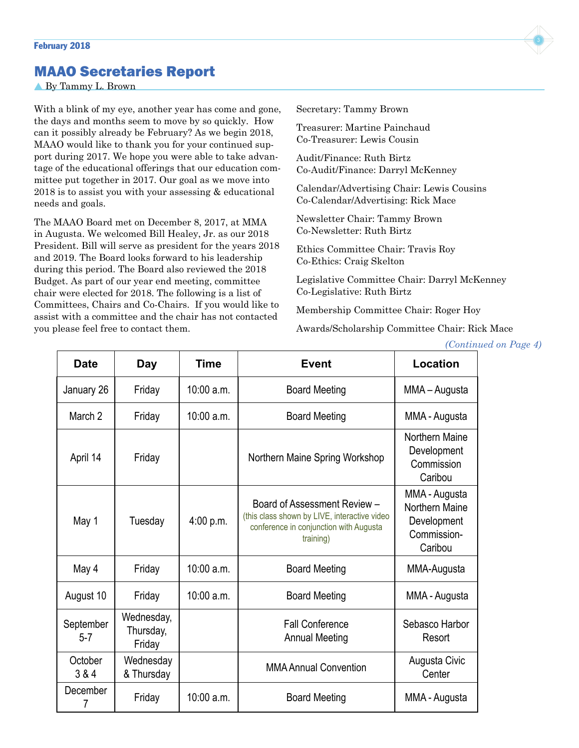### MAAO Secretaries Report

By Tammy L. Brown

With a blink of my eye, another year has come and gone, the days and months seem to move by so quickly. How can it possibly already be February? As we begin 2018, MAAO would like to thank you for your continued support during 2017. We hope you were able to take advantage of the educational offerings that our education committee put together in 2017. Our goal as we move into 2018 is to assist you with your assessing & educational needs and goals.

The MAAO Board met on December 8, 2017, at MMA in Augusta. We welcomed Bill Healey, Jr. as our 2018 President. Bill will serve as president for the years 2018 and 2019. The Board looks forward to his leadership during this period. The Board also reviewed the 2018 Budget. As part of our year end meeting, committee chair were elected for 2018. The following is a list of Committees, Chairs and Co-Chairs. If you would like to assist with a committee and the chair has not contacted you please feel free to contact them.

Secretary: Tammy Brown

Treasurer: Martine Painchaud Co-Treasurer: Lewis Cousin

Audit/Finance: Ruth Birtz Co-Audit/Finance: Darryl McKenney

Calendar/Advertising Chair: Lewis Cousins Co-Calendar/Advertising: Rick Mace

Newsletter Chair: Tammy Brown Co-Newsletter: Ruth Birtz

Ethics Committee Chair: Travis Roy Co-Ethics: Craig Skelton

Legislative Committee Chair: Darryl McKenney Co-Legislative: Ruth Birtz

Membership Committee Chair: Roger Hoy

Awards/Scholarship Committee Chair: Rick Mace

*(Continued on Page 4)*

| <b>Date</b>          | <b>Day</b>                        | <b>Time</b>  | <b>Event</b>                                                                                                                        | Location                                                                 |
|----------------------|-----------------------------------|--------------|-------------------------------------------------------------------------------------------------------------------------------------|--------------------------------------------------------------------------|
| January 26           | Friday                            | 10:00 a.m.   | <b>Board Meeting</b>                                                                                                                | MMA – Augusta                                                            |
| March 2              | Friday                            | $10:00$ a.m. | <b>Board Meeting</b>                                                                                                                | MMA - Augusta                                                            |
| April 14             | Friday                            |              | Northern Maine Spring Workshop                                                                                                      | Northern Maine<br>Development<br>Commission<br>Caribou                   |
| May 1                | Tuesday                           | 4:00 p.m.    | Board of Assessment Review -<br>(this class shown by LIVE, interactive video<br>conference in conjunction with Augusta<br>training) | MMA - Augusta<br>Northern Maine<br>Development<br>Commission-<br>Caribou |
| May 4                | Friday                            | 10:00 a.m.   | <b>Board Meeting</b>                                                                                                                | MMA-Augusta                                                              |
| August 10            | Friday                            | 10:00 a.m.   | <b>Board Meeting</b>                                                                                                                | MMA - Augusta                                                            |
| September<br>$5 - 7$ | Wednesday,<br>Thursday,<br>Friday |              | <b>Fall Conference</b><br><b>Annual Meeting</b>                                                                                     | Sebasco Harbor<br>Resort                                                 |
| October<br>3 & 4     | Wednesday<br>& Thursday           |              | <b>MMA Annual Convention</b>                                                                                                        | Augusta Civic<br>Center                                                  |
| December<br>7        | Friday                            | 10:00 a.m.   | <b>Board Meeting</b>                                                                                                                | MMA - Augusta                                                            |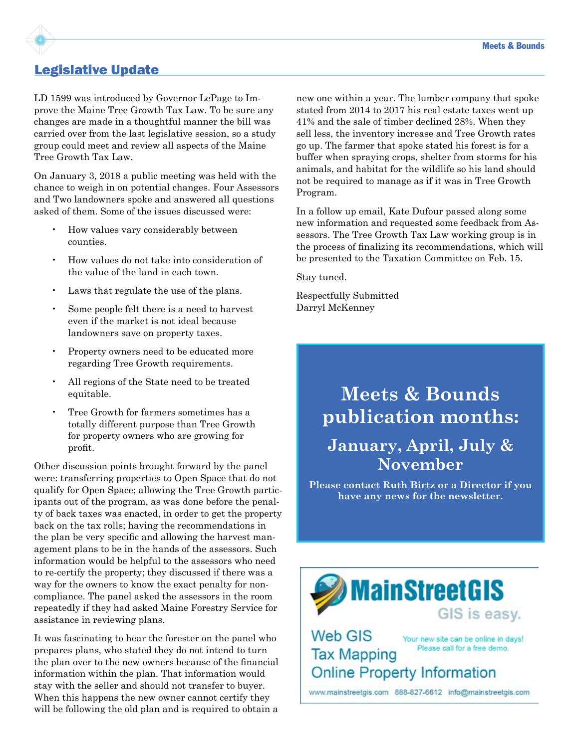## Legislative Update

LD 1599 was introduced by Governor LePage to Improve the Maine Tree Growth Tax Law. To be sure any changes are made in a thoughtful manner the bill was carried over from the last legislative session, so a study group could meet and review all aspects of the Maine Tree Growth Tax Law.

On January 3, 2018 a public meeting was held with the chance to weigh in on potential changes. Four Assessors and Two landowners spoke and answered all questions asked of them. Some of the issues discussed were:

- How values vary considerably between counties.
- How values do not take into consideration of the value of the land in each town.
- Laws that regulate the use of the plans.
- Some people felt there is a need to harvest even if the market is not ideal because landowners save on property taxes.
- Property owners need to be educated more regarding Tree Growth requirements.
- All regions of the State need to be treated equitable.
- Tree Growth for farmers sometimes has a totally different purpose than Tree Growth for property owners who are growing for profit.

Other discussion points brought forward by the panel were: transferring properties to Open Space that do not qualify for Open Space; allowing the Tree Growth participants out of the program, as was done before the penalty of back taxes was enacted, in order to get the property back on the tax rolls; having the recommendations in the plan be very specific and allowing the harvest management plans to be in the hands of the assessors. Such information would be helpful to the assessors who need to re-certify the property; they discussed if there was a way for the owners to know the exact penalty for noncompliance. The panel asked the assessors in the room repeatedly if they had asked Maine Forestry Service for assistance in reviewing plans.

It was fascinating to hear the forester on the panel who prepares plans, who stated they do not intend to turn the plan over to the new owners because of the financial information within the plan. That information would stay with the seller and should not transfer to buyer. When this happens the new owner cannot certify they will be following the old plan and is required to obtain a

new one within a year. The lumber company that spoke stated from 2014 to 2017 his real estate taxes went up 41% and the sale of timber declined 28%. When they sell less, the inventory increase and Tree Growth rates go up. The farmer that spoke stated his forest is for a buffer when spraying crops, shelter from storms for his animals, and habitat for the wildlife so his land should not be required to manage as if it was in Tree Growth Program.

In a follow up email, Kate Dufour passed along some new information and requested some feedback from Assessors. The Tree Growth Tax Law working group is in the process of finalizing its recommendations, which will be presented to the Taxation Committee on Feb. 15.

Stay tuned.

Respectfully Submitted Darryl McKenney

# **Meets & Bounds publication months:**

## **January, April, July & November**

**Please contact Ruth Birtz or a Director if you have any news for the newsletter.**

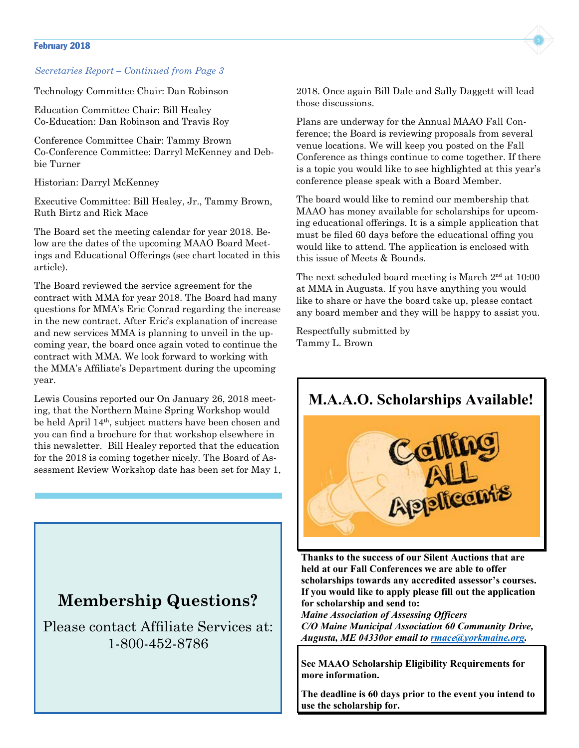### February 2018 **February 2018**

### *Secretaries Report – Continued from Page 3*

Technology Committee Chair: Dan Robinson

Education Committee Chair: Bill Healey Co-Education: Dan Robinson and Travis Roy

Conference Committee Chair: Tammy Brown Co-Conference Committee: Darryl McKenney and Debbie Turner

Historian: Darryl McKenney

Executive Committee: Bill Healey, Jr., Tammy Brown, Ruth Birtz and Rick Mace

The Board set the meeting calendar for year 2018. Below are the dates of the upcoming MAAO Board Meetings and Educational Offerings (see chart located in this article).

The Board reviewed the service agreement for the contract with MMA for year 2018. The Board had many questions for MMA's Eric Conrad regarding the increase in the new contract. After Eric's explanation of increase and new services MMA is planning to unveil in the upcoming year, the board once again voted to continue the contract with MMA. We look forward to working with the MMA's Affiliate's Department during the upcoming year.

Lewis Cousins reported our On January 26, 2018 meeting, that the Northern Maine Spring Workshop would be held April 14th, subject matters have been chosen and you can find a brochure for that workshop elsewhere in this newsletter. Bill Healey reported that the education for the 2018 is coming together nicely. The Board of Assessment Review Workshop date has been set for May 1,

### **Membership Questions?**

Please contact Affiliate Services at: 1-800-452-8786

2018. Once again Bill Dale and Sally Daggett will lead those discussions.

Plans are underway for the Annual MAAO Fall Conference; the Board is reviewing proposals from several venue locations. We will keep you posted on the Fall Conference as things continue to come together. If there is a topic you would like to see highlighted at this year's conference please speak with a Board Member.

The board would like to remind our membership that MAAO has money available for scholarships for upcoming educational offerings. It is a simple application that must be filed 60 days before the educational offing you would like to attend. The application is enclosed with this issue of Meets & Bounds.

The next scheduled board meeting is March  $2<sup>nd</sup>$  at 10:00 at MMA in Augusta. If you have anything you would like to share or have the board take up, please contact any board member and they will be happy to assist you.

Respectfully submitted by Tammy L. Brown



**Thanks to the success of our Silent Auctions that are held at our Fall Conferences we are able to offer scholarships towards any accredited assessor's courses. If you would like to apply please fill out the application for scholarship and send to:**

*Maine Association of Assessing Officers C/O Maine Municipal Association 60 Community Drive, Augusta, ME 04330or email to rmace@yorkmaine.org.*

**See MAAO Scholarship Eligibility Requirements for more information.**

**The deadline is 60 days prior to the event you intend to use the scholarship for.**

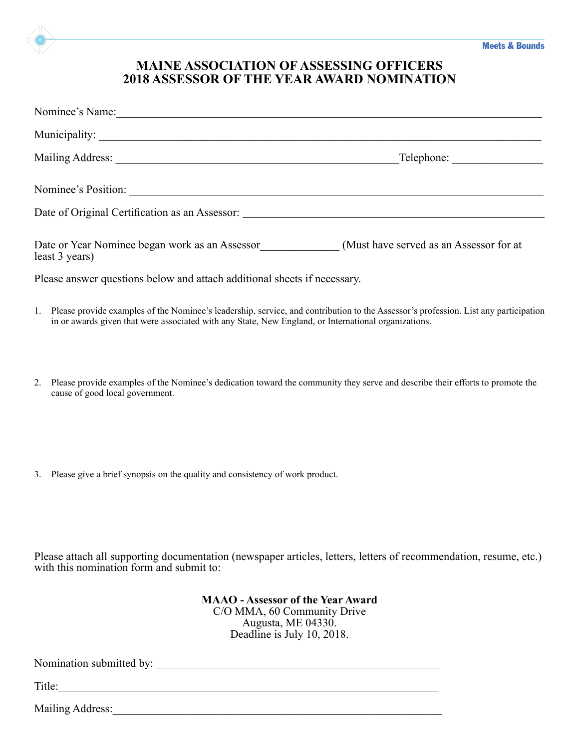### **MAINE ASSOCIATION OF ASSESSING OFFICERS 2018 ASSESSOR OF THE YEAR AWARD NOMINATION**

|    | Nominee's Name:                                                                                                                                                                                                                                |
|----|------------------------------------------------------------------------------------------------------------------------------------------------------------------------------------------------------------------------------------------------|
|    |                                                                                                                                                                                                                                                |
|    | Telephone:                                                                                                                                                                                                                                     |
|    | Nominee's Position:                                                                                                                                                                                                                            |
|    |                                                                                                                                                                                                                                                |
|    | Date or Year Nominee began work as an Assessor<br>(Must have served as an Assessor for at<br>least 3 years)                                                                                                                                    |
|    | Please answer questions below and attach additional sheets if necessary.                                                                                                                                                                       |
|    | 1. Please provide examples of the Nominee's leadership, service, and contribution to the Assessor's profession. List any participation<br>in or awards given that were associated with any State, New England, or International organizations. |
| 2. | Please provide examples of the Nominee's dedication toward the community they serve and describe their efforts to promote the<br>cause of good local government.                                                                               |
|    |                                                                                                                                                                                                                                                |

3. Please give a brief synopsis on the quality and consistency of work product.

Please attach all supporting documentation (newspaper articles, letters, letters of recommendation, resume, etc.) with this nomination form and submit to:

> **MAAO - Assessor of the Year Award** C/O MMA, 60 Community Drive Augusta, ME 04330. Deadline is July 10, 2018.

Nomination submitted by: \_\_\_\_\_\_\_\_\_\_\_\_\_\_\_\_\_\_\_\_\_\_\_\_\_\_\_\_\_\_\_\_\_\_\_\_\_\_\_\_\_\_\_\_\_\_\_\_\_\_

Title:\_\_\_\_\_\_\_\_\_\_\_\_\_\_\_\_\_\_\_\_\_\_\_\_\_\_\_\_\_\_\_\_\_\_\_\_\_\_\_\_\_\_\_\_\_\_\_\_\_\_\_\_\_\_\_\_\_\_\_\_\_\_\_\_\_\_\_

Mailing Address:\_\_\_\_\_\_\_\_\_\_\_\_\_\_\_\_\_\_\_\_\_\_\_\_\_\_\_\_\_\_\_\_\_\_\_\_\_\_\_\_\_\_\_\_\_\_\_\_\_\_\_\_\_\_\_\_\_\_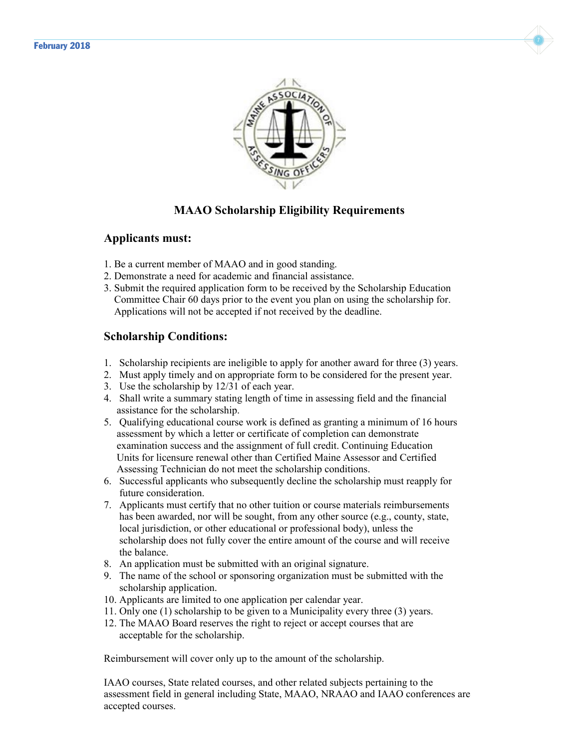



### **MAAO Scholarship Eligibility Requirements**

### **Applicants must:**

- 1. Be a current member of MAAO and in good standing.
- 2. Demonstrate a need for academic and financial assistance.
- 3. Submit the required application form to be received by the Scholarship Education Committee Chair 60 days prior to the event you plan on using the scholarship for. Applications will not be accepted if not received by the deadline.

### **Scholarship Conditions:**

- 1. Scholarship recipients are ineligible to apply for another award for three (3) years.
- 2. Must apply timely and on appropriate form to be considered for the present year.
- 3. Use the scholarship by 12/31 of each year.
- 4. Shall write a summary stating length of time in assessing field and the financial assistance for the scholarship.
- 5. Qualifying educational course work is defined as granting a minimum of 16 hours assessment by which a letter or certificate of completion can demonstrate examination success and the assignment of full credit. Continuing Education Units for licensure renewal other than Certified Maine Assessor and Certified Assessing Technician do not meet the scholarship conditions.
- 6. Successful applicants who subsequently decline the scholarship must reapply for future consideration.
- 7. Applicants must certify that no other tuition or course materials reimbursements has been awarded, nor will be sought, from any other source (e.g., county, state, local jurisdiction, or other educational or professional body), unless the scholarship does not fully cover the entire amount of the course and will receive the balance.
- 8. An application must be submitted with an original signature.
- 9. The name of the school or sponsoring organization must be submitted with the scholarship application.
- 10. Applicants are limited to one application per calendar year.
- 11. Only one (1) scholarship to be given to a Municipality every three (3) years.
- 12. The MAAO Board reserves the right to reject or accept courses that are acceptable for the scholarship.

Reimbursement will cover only up to the amount of the scholarship.

IAAO courses, State related courses, and other related subjects pertaining to the assessment field in general including State, MAAO, NRAAO and IAAO conferences are accepted courses.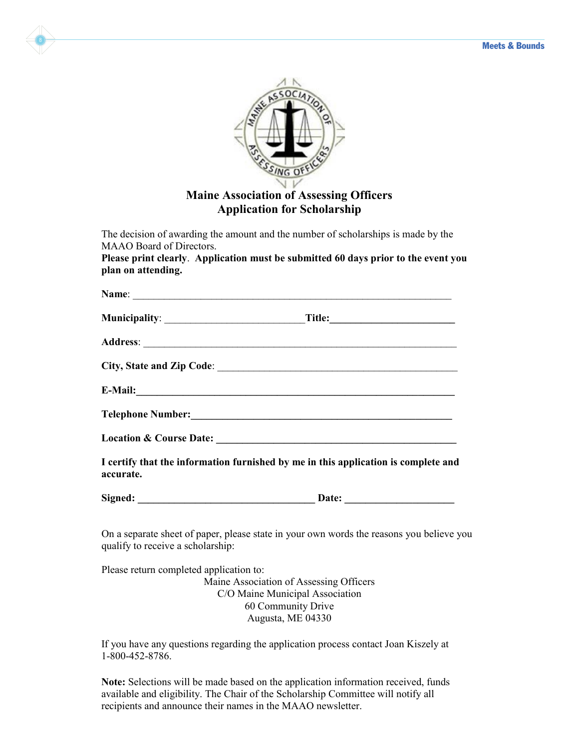



### **Maine Association of Assessing Officers Application for Scholarship**

The decision of awarding the amount and the number of scholarships is made by the MAAO Board of Directors.

**Please print clearly**. **Application must be submitted 60 days prior to the event you plan on attending.**

|           | E-Mail: expression of the contract of the contract of the contract of the contract of the contract of the contract of the contract of the contract of the contract of the contract of the contract of the contract of the cont |
|-----------|--------------------------------------------------------------------------------------------------------------------------------------------------------------------------------------------------------------------------------|
|           |                                                                                                                                                                                                                                |
|           |                                                                                                                                                                                                                                |
| accurate. | I certify that the information furnished by me in this application is complete and                                                                                                                                             |

Signed: **Date:** 

On a separate sheet of paper, please state in your own words the reasons you believe you qualify to receive a scholarship:

Please return completed application to:

Maine Association of Assessing Officers C/O Maine Municipal Association 60 Community Drive Augusta, ME 04330

If you have any questions regarding the application process contact Joan Kiszely at 1-800-452-8786.

**Note:** Selections will be made based on the application information received, funds available and eligibility. The Chair of the Scholarship Committee will notify all recipients and announce their names in the MAAO newsletter.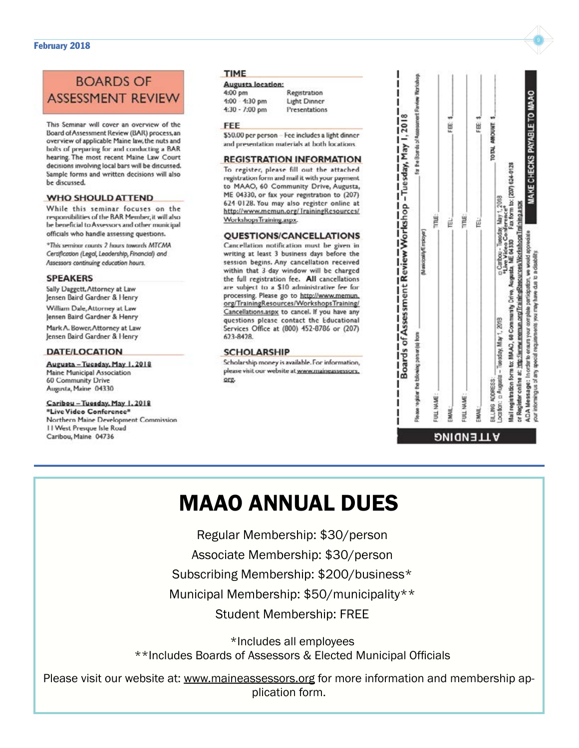### February 2018 **February 2018**

### **BOARDS OF ASSESSMENT REVIEV**

This Seminar will cover an overview of the Board of Assessment Review (BAR) process an overview of applicable Maine law, the nuts and bolts of preparing for and conducting a BAR hearing. The most recent Maine Law Court decisions involving local bars will be discussed. Sample forms and written decisions will also be discussed.

### **WHO SHOULD ATTEND**

While this seminar focuses on the responsibilities of the BAR Member, it will also be beneficial to Assessors and other municipal officials who handle assessing questions.

\*This seminar counts 2 hours towards MTCMA Certification (Legal, Leadership, Financial) and Assessors continuing education hours.

#### **SPEAKERS**

Sally Daggett, Attorney at Law Jensen Baird Gardner & Henry William Dale, Attorney at Law

Jensen Baird Gardner & Henry

Mark A. Bower, Attorney at Law Jensen Baird Gardner & Henry

### **DATE/LOCATION**

Augusta - Tucsday, May 1, 2018 **Maine Municipal Association** 60 Community Drive Augusta, Maine 04330

### Caribou - Tuesday, May 1, 2018

"Live Video Conference" Northern Maine Development Commission 11 West Presque Isle Road Caribou, Maine 04736

### **TIME**

#### Augusta location:  $4:$

| 4:00 pm |                  |  |
|---------|------------------|--|
|         | $1:00 - 1:30$ pm |  |
|         | $4:30 - 7:00$ pm |  |

Registration Light Dinner Presentations

#### FFF

\$50.00 per person - Fee includes a light dinner and presentation materials at both locations.

### **REGISTRATION INFORMATION**

To register, please fill out the attached registration form and mail it with your payment to MAAO, 60 Community Drive, Augusta, ME 04330, or fax your registration to (207) 624 0128. You may also register online at http://www.mcmun.org/TrainingResources/ WorkshopsTraining.aspx.

#### **QUESTIONS/CANCELLATIONS**

Cancellation notification must be given in writing at least 3 business days before the session begins. Any cancellation received within that 3 day window will be charged the full registration fee. All cancellations are subject to a \$10 administrative fee for processing. Please go to http://www.memun. org/TrainingResources/WorkshopsTraining/ Cancellations.aspx to cancel. If you have any questions please contact the Educational Services Office at (800) 452-8786 or (207) 623-8428.

### **SCHOLARSHIP**

Scholarship money is available. For information, please visit our website at www.maineassessors. org.

| Please register the bilowing person(s) from                                                                                        | (Numicipality/Employer)                                                                                                                                          | for the Boards of Assessment Favorer Workshop. |
|------------------------------------------------------------------------------------------------------------------------------------|------------------------------------------------------------------------------------------------------------------------------------------------------------------|------------------------------------------------|
| FUIL NAME:                                                                                                                         | TTNE:                                                                                                                                                            |                                                |
|                                                                                                                                    | ĕ                                                                                                                                                                | FEE 3                                          |
| FULL NAME:                                                                                                                         | TTNE                                                                                                                                                             |                                                |
|                                                                                                                                    | Ë                                                                                                                                                                | FEE <sub>3</sub>                               |
| EILLING ADDRESS:                                                                                                                   |                                                                                                                                                                  | TOTAL AMOUNT                                   |
| or Register online at: http://www.memun.org/TrainingResources/WorkshopsTraining.aspx<br>Location: p Augusta - Tuesday, May 1, 2018 | Mail registration form to: MAAO, 60 Community Orive, Augusta, ME 04330 Fax form to: (207) 624-0128<br>c Carbou - Tuesday, May 1, 2018<br>*Live Video Conference* |                                                |

## MAAO ANNUAL DUES

Regular Membership: \$30/person

Associate Membership: \$30/person

Subscribing Membership: \$200/business\*

Municipal Membership: \$50/municipality\*\*

Student Membership: FREE

\*Includes all employees \*\*Includes Boards of Assessors & Elected Municipal Officials

Please visit our website at: <www.maineassessors.org> for more information and membership application form.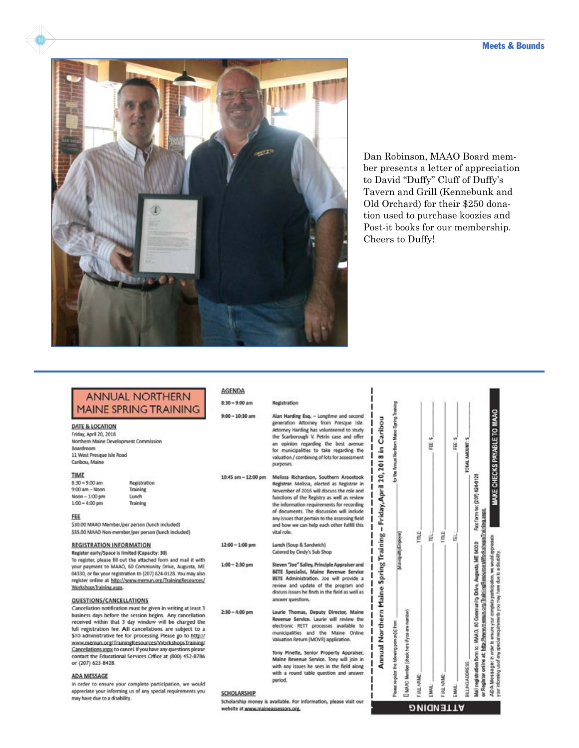

Dan Robinson, MAAO Board mem ber presents a letter of appreciation to David "Duffy" Cluff of Duffy's Tavern and Grill (Kennebunk and Old Orchard) for their \$250 dona tion used to purchase koozies and Post-it books for our membership. Cheers to Duffy!

### **ANNUAL NORTHERN MAINE SPRING TRAINING**

Registration

Training

Lunch

Training

DATE & LOCATION Friday, April 20, 2018

Northern Maine Development Commission Boardroom 11 West Presque Isle Road Caribou, Maine

#### TIME

 $8:30 - 9:00$  am  $9:00$  am - Noon  $Noon-1:00 pm$  $1:00 - 4:00$  pm

#### FEE

\$30.00 MAAO Member/per person (lunch included) \$35.00 MAAO Non-member/per person (lunch included)

#### **REGISTRATION INFORMATION**

Register early/Space is limited (Capacity: 30) To register, please fill out the attached form and mail it with<br>your payment to MAAO, 60 Community Drive, Augusta, ME 04330, or fax your registration to (207) 624-0128. You may also register online at http://www.memun.org/TrainingResources/ Workshops Training.aspx.

#### QUESTIONS/CANCELLATIONS

Cancellation notification must be given in writing at least 3 business days before the session begins. Any cancellation received within that 3 day window will be charged the full registration fee. All cancellations are subject to a \$10 administrative fee for processing. Please go to http:// www.memun.org/TrainingResources/WorkshopsTraining/ Cancellations aspx to cancel if you have any questions please<br>contact the Educational Services Office at (800) 452-8786 or (207) 623-8428.

#### **ADA MESSAGE**

In order to ensure your complete participation, we would appreciate your informing us of any special requirements you may have due to a disability.

| AGENDA              |                                                                                                                                                                                                                                                                                                                                                                                               |  |
|---------------------|-----------------------------------------------------------------------------------------------------------------------------------------------------------------------------------------------------------------------------------------------------------------------------------------------------------------------------------------------------------------------------------------------|--|
| $8:30 - 9:00$ am    | Registration                                                                                                                                                                                                                                                                                                                                                                                  |  |
| $9:00 - 10:30$ am   | Alan Harding Esq. - Longtime and second<br>generation Attorney from Presque Isle.<br>Attorney Harding has volunteered to study<br>the Scarborough V. Petrin case and offer<br>an opinion regarding the best avenue<br>for municipalities to take regarding the<br>valuation / combining of lots for assessment<br>purposes.                                                                   |  |
| 10:45 am - 12:00 pm | Melissa Richardson, Southern Aroostook<br>Registrar, Melissa, elected as Registrar in<br>November of 2016 will discuss the role and<br>functions of the Registry as well as review<br>the information requirements for recording<br>of documents. The discussion will include<br>any issues that pertain to the assessing field<br>and how we can help each other fulfill this<br>vital role. |  |
| $12:00 - 1:00$ pm   | Lunch (Soup & Sandwich)<br>Catered by Cindy's Sub Shop                                                                                                                                                                                                                                                                                                                                        |  |
| $1:00 - 2:30$ pm    | Steven "Joe" Salley, Principle Appraiser and<br>BETE Specialist, Maine Revenue Service<br>BETE Administration. Joe will provide a<br>review and update of the program and<br>discuss issues he finds in the field as well as<br>answer questions.                                                                                                                                             |  |
| $2:30 - 4:00$ pm    | Laurie Thomas, Deputy Director, Maine<br>Becomerse Republic I sends will produce they                                                                                                                                                                                                                                                                                                         |  |

te, Laurie will review electronic RETT processes available to municipalities and the Maine Online Valuation Return (MOVR) application.

Tony Pinette, Senior Property Appraiser, Maine Revenue Service. Tony will join in with any issues he sees in the field along with a round table question and answer period.

#### SCHOLARSHIP

AGENDA

Scholarship money is available. For information, please visit our website at www.maineassessors.org.

| Please register the bilowing person(ii) from                                                                                                                                                   | Municipality/Employer) | for the Annual Northern Maine Spring Training |
|------------------------------------------------------------------------------------------------------------------------------------------------------------------------------------------------|------------------------|-----------------------------------------------|
| [ MAAC Member (check here if you are member)                                                                                                                                                   |                        |                                               |
| <b>FULL NAME:</b>                                                                                                                                                                              | TTRLE.                 |                                               |
| ä                                                                                                                                                                                              | é                      | FEE: \$                                       |
| FULL NAME:                                                                                                                                                                                     | TTRLE.                 |                                               |
| EMAL                                                                                                                                                                                           | 置                      | FE \$                                         |
| BILLINGALDORE SS:                                                                                                                                                                              |                        | TOTAL AMOUNT: \$                              |
| Mail registration form to: MAAO, 60 Community Drive, Augusta, ME 04300 Fax:form to: (201) 624-0128<br>or Regis for online at: http://www.manun.com/ilrainingResource sWrorkshops/iraining.aspx |                        |                                               |
| ADA Message: In order to ensure your complete participation, we would appreciate<br>ar interning used any special requirements you may have due to a disability.                               |                        | MAKE CHECKS PAYABLE TO MAAO                   |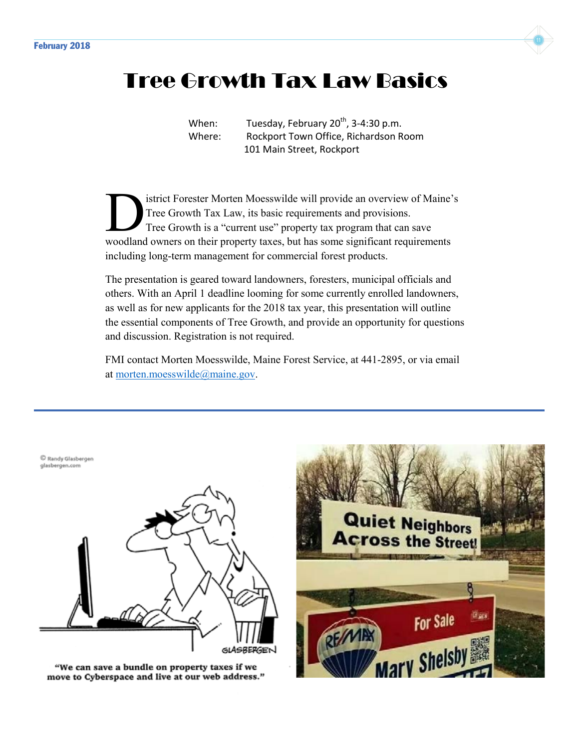

## Tree Growth Tax Law Basics

When: Tuesday, February  $20^{th}$ , 3-4:30 p.m. Where: Rockport Town Office, Richardson Room 101 Main Street, Rockport

istrict Forester Morten Moesswilde will provide an overview of Maine's Tree Growth Tax Law, its basic requirements and provisions. Tree Growth is a "current use" property tax program that can save Sistrict Forester Morten Moesswilde will provide an overview of Maine'<br>Tree Growth Tax Law, its basic requirements and provisions.<br>Tree Growth is a "current use" property tax program that can save<br>woodland owners on their including long-term management for commercial forest products.

The presentation is geared toward landowners, foresters, municipal officials and others. With an April 1 deadline looming for some currently enrolled landowners, as well as for new applicants for the 2018 tax year, this presentation will outline the essential components of Tree Growth, and provide an opportunity for questions and discussion. Registration is not required.

FMI contact Morten Moesswilde, Maine Forest Service, at 441-2895, or via email at morten.moesswilde@maine.gov.

C Randy Glasbergen glasbergen.com



"We can save a bundle on property taxes if we move to Cyberspace and live at our web address."